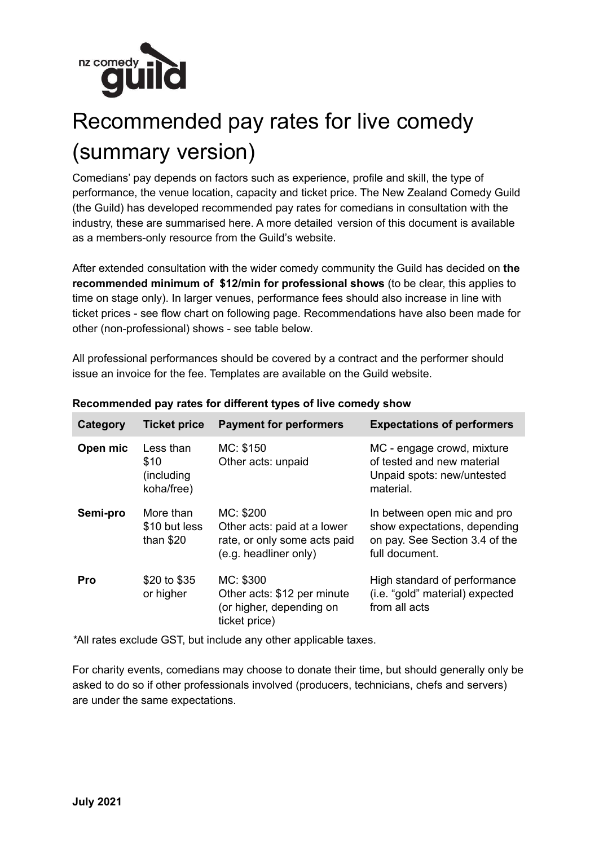

## Recommended pay rates for live comedy (summary version)

Comedians' pay depends on factors such as experience, profile and skill, the type of performance, the venue location, capacity and ticket price. The New Zealand Comedy Guild (the Guild) has developed recommended pay rates for comedians in consultation with the industry, these are summarised here. A more detailed version of this document is available as a members-only resource from the Guild's website.

After extended consultation with the wider comedy community the Guild has decided on **the recommended minimum of \$12/min for professional shows** (to be clear, this applies to time on stage only). In larger venues, performance fees should also increase in line with ticket prices - see flow chart on following page. Recommendations have also been made for other (non-professional) shows - see table below.

All professional performances should be covered by a contract and the performer should issue an invoice for the fee. Templates are available on the Guild website.

| Category | <b>Ticket price</b>                           | <b>Payment for performers</b>                                                                     | <b>Expectations of performers</b>                                                                               |
|----------|-----------------------------------------------|---------------------------------------------------------------------------------------------------|-----------------------------------------------------------------------------------------------------------------|
| Open mic | Less than<br>\$10<br>(including<br>koha/free) | MC: \$150<br>Other acts: unpaid                                                                   | MC - engage crowd, mixture<br>of tested and new material<br>Unpaid spots: new/untested<br>material.             |
| Semi-pro | More than<br>\$10 but less<br>than $$20$      | MC: \$200<br>Other acts: paid at a lower<br>rate, or only some acts paid<br>(e.g. headliner only) | In between open mic and pro<br>show expectations, depending<br>on pay. See Section 3.4 of the<br>full document. |
| Pro      | \$20 to \$35<br>or higher                     | MC: \$300<br>Other acts: \$12 per minute<br>(or higher, depending on<br>ticket price)             | High standard of performance<br>(i.e. "gold" material) expected<br>from all acts                                |

## **Recommended pay rates for different types of live comedy show**

*\**All rates exclude GST, but include any other applicable taxes.

For charity events, comedians may choose to donate their time, but should generally only be asked to do so if other professionals involved (producers, technicians, chefs and servers) are under the same expectations.